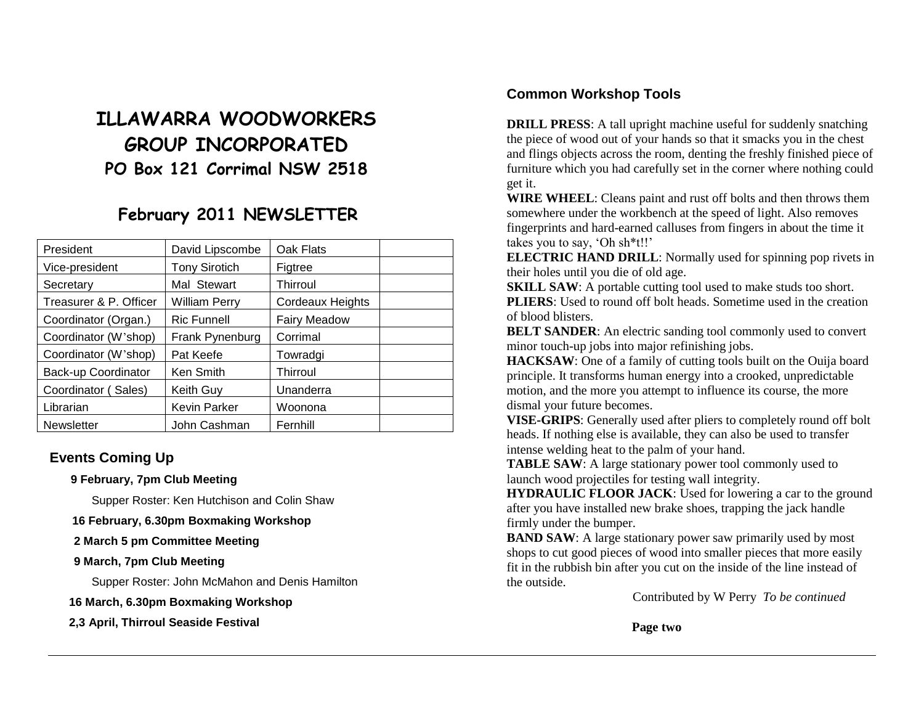# **ILLAWARRA WOODWORKERS GROUP INCORPORATED PO Box 121 Corrimal NSW 2518**

## **February 2011 NEWSLETTER**

| President              | David Lipscombe     | Oak Flats           |  |
|------------------------|---------------------|---------------------|--|
| Vice-president         | Tony Sirotich       | Figtree             |  |
| Secretary              | Mal Stewart         | Thirroul            |  |
| Treasurer & P. Officer | William Perry       | Cordeaux Heights    |  |
| Coordinator (Organ.)   | <b>Ric Funnell</b>  | <b>Fairy Meadow</b> |  |
| Coordinator (W'shop)   | Frank Pynenburg     | Corrimal            |  |
| Coordinator (W'shop)   | Pat Keefe           | Towradgi            |  |
| Back-up Coordinator    | Ken Smith           | <b>Thirroul</b>     |  |
| Coordinator (Sales)    | Keith Guy           | Unanderra           |  |
| Librarian              | <b>Kevin Parker</b> | Woonona             |  |
| <b>Newsletter</b>      | John Cashman        | Fernhill            |  |

## **Events Coming Up**

#### **9 February, 7pm Club Meeting**

Supper Roster: Ken Hutchison and Colin Shaw

**16 February, 6.30pm Boxmaking Workshop** 

- **2 March 5 pm Committee Meeting**
- **9 March, 7pm Club Meeting**

Supper Roster: John McMahon and Denis Hamilton

**16 March, 6.30pm Boxmaking Workshop** 

**2,3 April, Thirroul Seaside Festival**

## **Common Workshop Tools**

**DRILL PRESS:** A tall upright machine useful for suddenly snatching the piece of wood out of your hands so that it smacks you in the chest and flings objects across the room, denting the freshly finished piece of furniture which you had carefully set in the corner where nothing could get it.

**WIRE WHEEL**: Cleans paint and rust off bolts and then throws them somewhere under the workbench at the speed of light. Also removes fingerprints and hard-earned calluses from fingers in about the time it takes you to say, 'Oh sh\*t!!'

**ELECTRIC HAND DRILL**: Normally used for spinning pop rivets in their holes until you die of old age.

**SKILL SAW:** A portable cutting tool used to make studs too short. **PLIERS**: Used to round off bolt heads. Sometime used in the creation of blood blisters.

**BELT SANDER:** An electric sanding tool commonly used to convert minor touch-up jobs into major refinishing jobs.

**HACKSAW:** One of a family of cutting tools built on the Ouija board principle. It transforms human energy into a crooked, unpredictable motion, and the more you attempt to influence its course, the more dismal your future becomes.

**VISE-GRIPS**: Generally used after pliers to completely round off bolt heads. If nothing else is available, they can also be used to transfer intense welding heat to the palm of your hand.

**TABLE SAW**: A large stationary power tool commonly used to launch wood projectiles for testing wall integrity.

**HYDRAULIC FLOOR JACK**: Used for lowering a car to the ground after you have installed new brake shoes, trapping the jack handle firmly under the bumper.

**BAND SAW**: A large stationary power saw primarily used by most shops to cut good pieces of wood into smaller pieces that more easily fit in the rubbish bin after you cut on the inside of the line instead of the outside.

Contributed by W Perry *To be continued*

 **Page two**